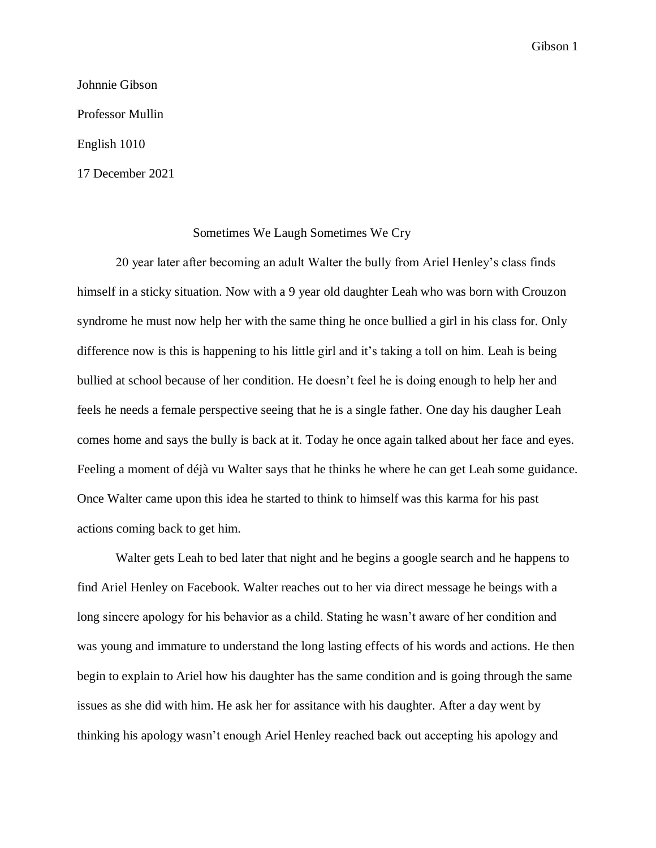Gibson 1

Johnnie Gibson Professor Mullin English 1010 17 December 2021

## Sometimes We Laugh Sometimes We Cry

20 year later after becoming an adult Walter the bully from Ariel Henley's class finds himself in a sticky situation. Now with a 9 year old daughter Leah who was born with Crouzon syndrome he must now help her with the same thing he once bullied a girl in his class for. Only difference now is this is happening to his little girl and it's taking a toll on him. Leah is being bullied at school because of her condition. He doesn't feel he is doing enough to help her and feels he needs a female perspective seeing that he is a single father. One day his daugher Leah comes home and says the bully is back at it. Today he once again talked about her face and eyes. Feeling a moment of déjà vu Walter says that he thinks he where he can get Leah some guidance. Once Walter came upon this idea he started to think to himself was this karma for his past actions coming back to get him.

Walter gets Leah to bed later that night and he begins a google search and he happens to find Ariel Henley on Facebook. Walter reaches out to her via direct message he beings with a long sincere apology for his behavior as a child. Stating he wasn't aware of her condition and was young and immature to understand the long lasting effects of his words and actions. He then begin to explain to Ariel how his daughter has the same condition and is going through the same issues as she did with him. He ask her for assitance with his daughter. After a day went by thinking his apology wasn't enough Ariel Henley reached back out accepting his apology and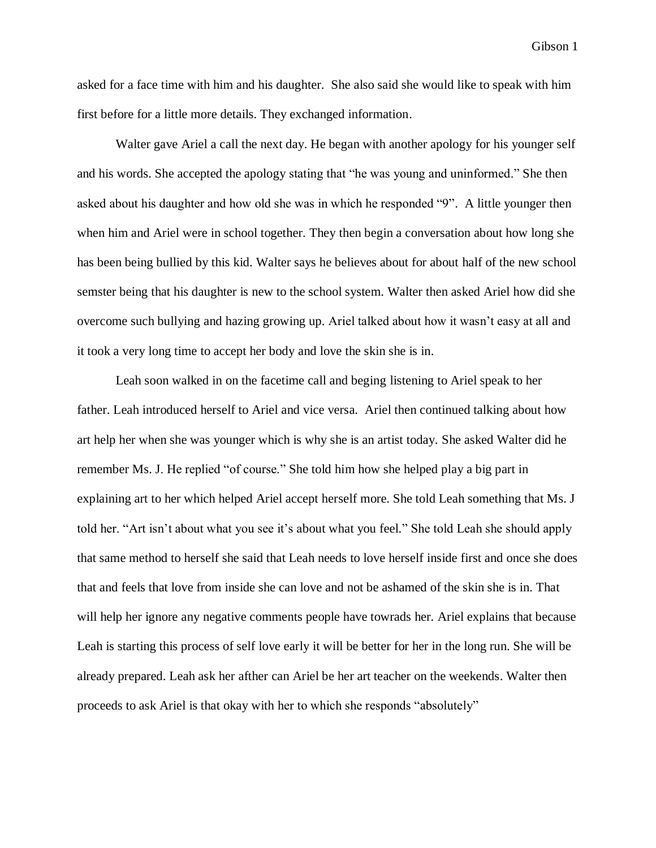Gibson 1

asked for a face time with him and his daughter. She also said she would like to speak with him first before for a little more details. They exchanged information.

Walter gave Ariel a call the next day. He began with another apology for his younger self and his words. She accepted the apology stating that "he was young and uninformed." She then asked about his daughter and how old she was in which he responded "9". A little younger then when him and Ariel were in school together. They then begin a conversation about how long she has been being bullied by this kid. Walter says he believes about for about half of the new school semster being that his daughter is new to the school system. Walter then asked Ariel how did she overcome such bullying and hazing growing up. Ariel talked about how it wasn't easy at all and it took a very long time to accept her body and love the skin she is in.

Leah soon walked in on the facetime call and beging listening to Ariel speak to her father. Leah introduced herself to Ariel and vice versa. Ariel then continued talking about how art help her when she was younger which is why she is an artist today. She asked Walter did he remember Ms. J. He replied "of course." She told him how she helped play a big part in explaining art to her which helped Ariel accept herself more. She told Leah something that Ms. J told her. "Art isn't about what you see it's about what you feel." She told Leah she should apply that same method to herself she said that Leah needs to love herself inside first and once she does that and feels that love from inside she can love and not be ashamed of the skin she is in. That will help her ignore any negative comments people have towrads her. Ariel explains that because Leah is starting this process of self love early it will be better for her in the long run. She will be already prepared. Leah ask her afther can Ariel be her art teacher on the weekends. Walter then proceeds to ask Ariel is that okay with her to which she responds "absolutely"